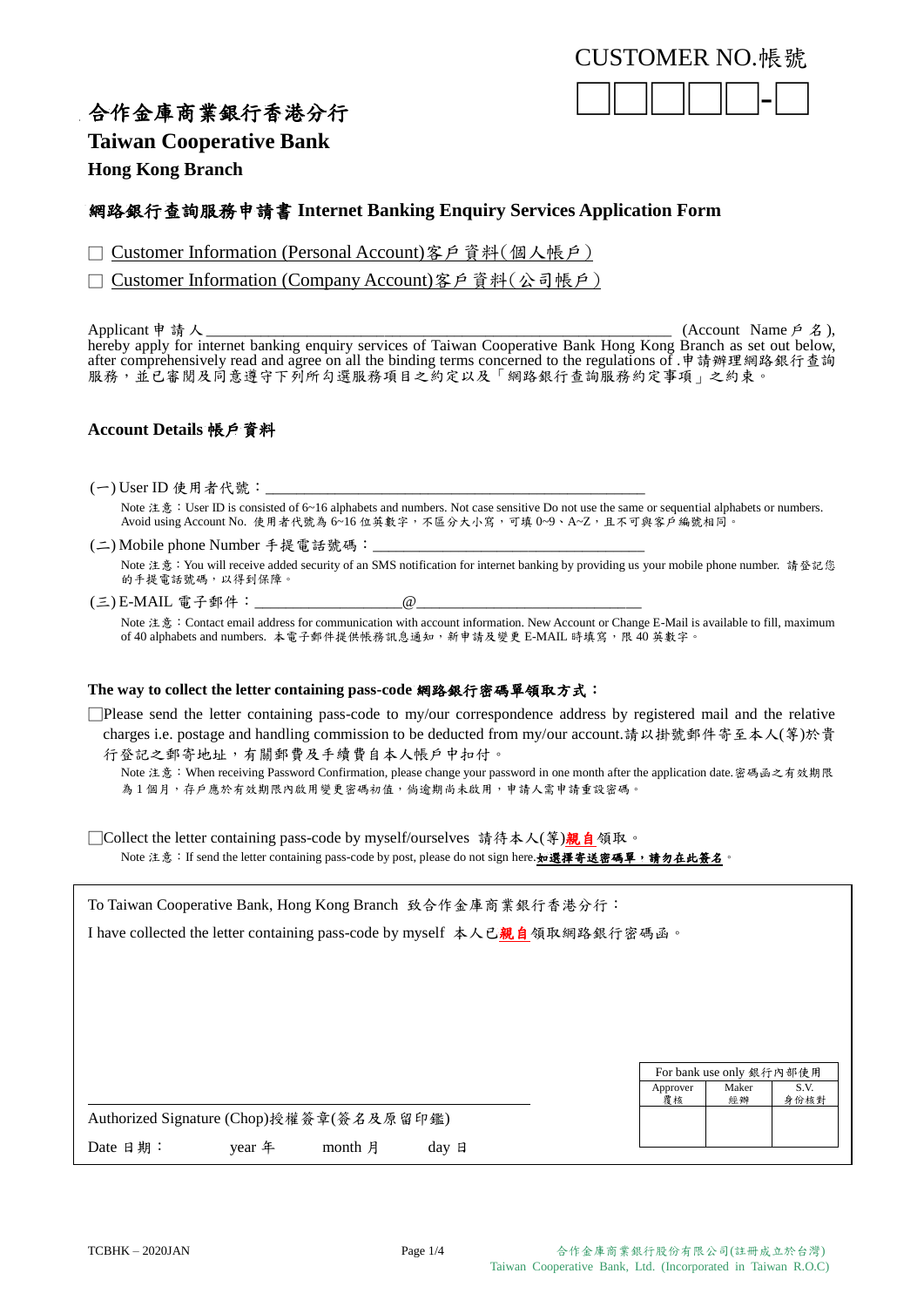### CUSTOMER NO.帳號



## 合作金庫商業銀行香港分行

**Taiwan Cooperative Bank** 

**Hong Kong Branch**

### 網路銀行查詢服務申請書 **Internet Banking Enquiry Services Application Form**

□ Customer Information (Personal Account)客戶資料(個人帳戶)

□ Customer Information (Company Account)客戶資料(公司帳戶)

Applicant 申請人 \_\_\_\_\_\_\_\_\_\_\_\_\_\_\_\_\_\_\_\_\_\_\_\_\_\_\_\_\_\_\_\_\_\_\_\_\_\_\_\_\_\_\_\_\_\_\_\_\_\_\_\_\_\_\_\_\_\_\_\_ (Account Name 戶 名 ), hereby apply for internet banking enquiry services of Taiwan Cooperative Bank Hong Kong Branch as set out below, after comprehensively read and agree on all the binding terms concerned to the regulations of .申請辦理網路銀行查詢 服務,並已審閱及同意遵守下列所勾選服務項目之約定以及「網路銀行查詢服務約定事項」之約束。

### **Account Details** 帳戶資料

 $(-)$ User ID 使用者代號:

Note 注意: User ID is consisted of 6~16 alphabets and numbers. Not case sensitive Do not use the same or sequential alphabets or numbers. Avoid using Account No. 使用者代號為 6~16 位英數字,不區分大小寫,可填 0~9、A~Z,且不可與客戶編號相同。

(二) Mobile phone Number 手提電話號碼:

Note 注意:You will receive added security of an SMS notification for internet banking by providing us your mobile phone number. 請登記您 的手提電話號碼,以得到保障。

(三) E-MAIL 電子郵件: \_\_\_\_\_\_\_\_\_\_\_\_\_\_\_\_\_\_\_\_\_\_\_@ Note 注意: Contact email address for communication with account information. New Account or Change E-Mail is available to fill, maximum of 40 alphabets and numbers. 本電子郵件提供帳務訊息通知,新申請及變更 E-MAIL 時填寫,限 40 英數字。

### **The way to collect the letter containing pass-code** 網路銀行密碼單領取方式:

□Please send the letter containing pass-code to my/our correspondence address by registered mail and the relative charges i.e. postage and handling commission to be deducted from my/our account.請以掛號郵件寄至本人(等)於貴

行登記之郵寄地址,有關郵費及手續費自本人帳戶中扣付。 Note 注意:When receiving Password Confirmation, please change your password in one month after the application date.密碼函之有效期限 為1個月,存戶應於有效期限內啟用變更密碼初值,倘逾期尚未啟用,申請人需申請重設密碼。

□Collect the letter containing pass-code by myself/ourselves 請待本人(等)親自領取。

Note 注意: If send the letter containing pass-code by post, please do not sign here.如選擇寄送密碼單,請勿在此簽名。

| To Taiwan Cooperative Bank, Hong Kong Branch 致合作金庫商業銀行香港分行:                |                |                          |              |  |  |
|----------------------------------------------------------------------------|----------------|--------------------------|--------------|--|--|
| I have collected the letter containing pass-code by myself 本人已親自領取網路銀行密碼函。 |                |                          |              |  |  |
|                                                                            |                |                          |              |  |  |
|                                                                            |                |                          |              |  |  |
|                                                                            |                |                          |              |  |  |
|                                                                            |                |                          |              |  |  |
|                                                                            |                |                          |              |  |  |
|                                                                            |                | For bank use only 銀行內部使用 |              |  |  |
|                                                                            | Approver<br>覆核 | Maker<br>經辦              | S.V.<br>身份核對 |  |  |
| Authorized Signature (Chop)授權簽章(簽名及原留印鑑)                                   |                |                          |              |  |  |
| Date 日期:<br>year 年<br>month 月<br>$day$ 日                                   |                |                          |              |  |  |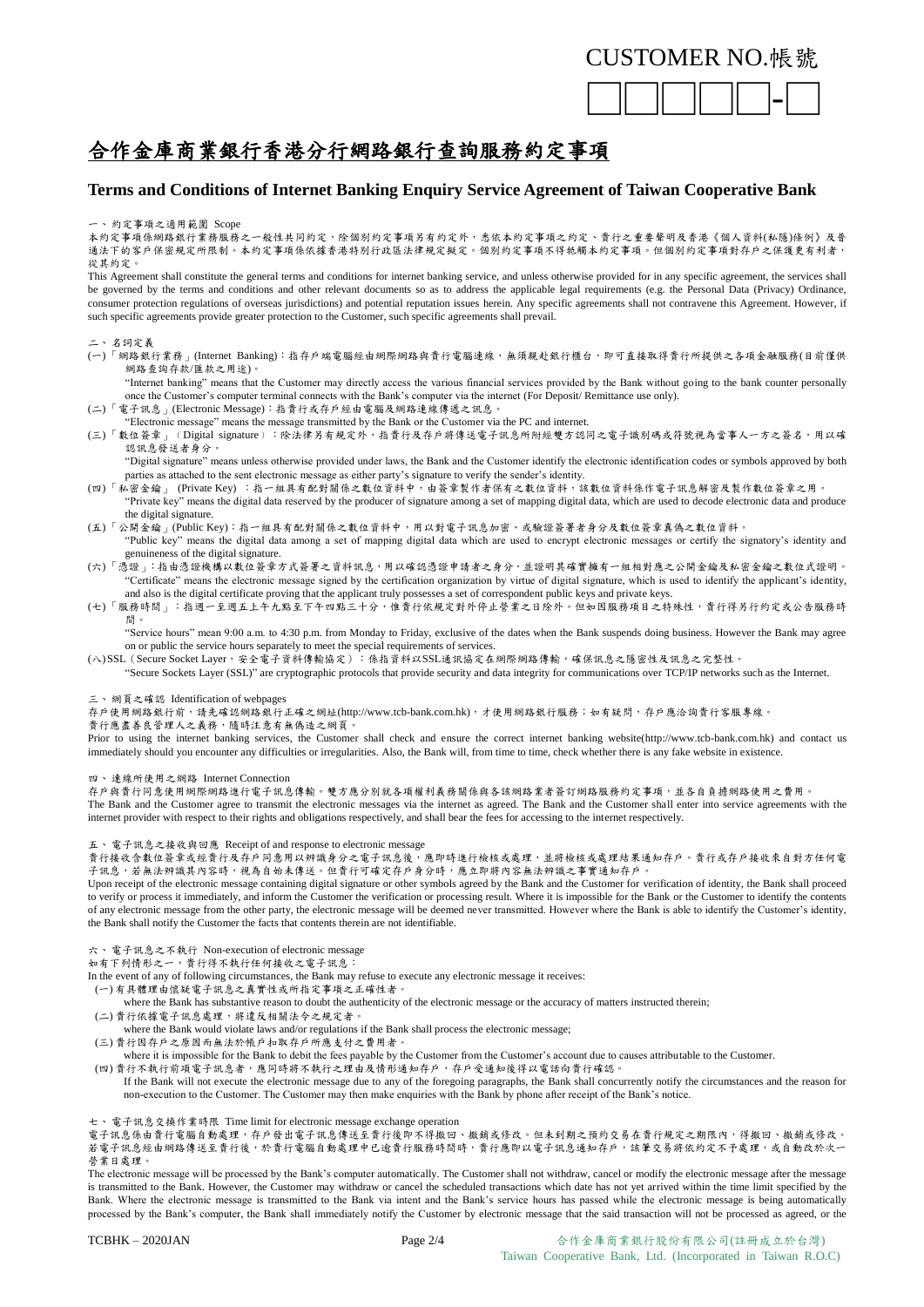### CUSTOMER NO.帳號



# 合作金庫商業銀行香港分行網路銀行查詢服務約定事項

### **Terms and Conditions of Internet Banking Enquiry Service Agreement of Taiwan Cooperative Bank**

#### 一、約定事項之適用範圍 Scope

本約定事項係網路銀行業務服務之一般性共同約定,除個別約定事項另有約定外,悉依本約定事項之約定、貴行之重要聲明及香港《個人資料(私隱)條例》及普 通法下的客戶保密規定所限制。本約定事項係依據香港特別行政區法律規定擬定。個別約定事項不得牴觸本約定事項。但個別約定事項對存戶之保護更有利者, 從其約定。

This Agreement shall constitute the general terms and conditions for internet banking service, and unless otherwise provided for in any specific agreement, the services shall be governed by the terms and conditions and other relevant documents so as to address the applicable legal requirements (e.g. the Personal Data (Privacy) Ordinance, consumer protection regulations of overseas jurisdictions) and potential reputation issues herein. Any specific agreements shall not contravene this Agreement. However, if such specific agreements provide greater protection to the Customer, such specific agreements shall prevail.

#### 二、名詞定義

(一)「網路銀行業務」(Internet Banking):指存戶端電腦經由網際網路與貴行電腦連線,無須親赴銀行櫃台,即可直接取得貴行所提供之各項金融服務(目前僅供 網路查詢存款/匯款之用途)。

"Internet banking" means that the Customer may directly access the various financial services provided by the Bank without going to the bank counter personally once the Customer's computer terminal connects with the Bank's computer via the internet (For Deposit/ Remittance use only).

- (二)「電子訊息」(Electronic Message):指貴行或存戶經由電腦及網路連線傳遞之訊息。
	- "Electronic message" means the message transmitted by the Bank or the Customer via the PC and internet.
- (三)「數位簽章」﹙Digital signature﹚:除法律另有規定外,指貴行及存戶將傳送電子訊息所附經雙方認同之電子識別碼或符號視為當事人一方之簽名,用以確 認訊息發送者身分。

"Digital signature" means unless otherwise provided under laws, the Bank and the Customer identify the electronic identification codes or symbols approved by both parties as attached to the sent electronic message as either party's signature to verify the sender's identity.

- (四)「私密金鑰」 (Private Key) :指一組具有配對關係之數位資料中,由簽章製作者保有之數位資料,該數位資料係作電子訊息解密及製作數位簽章之用。 "Private key" means the digital data reserved by the producer of signature among a set of mapping digital data, which are used to decode electronic data and produce the digital signature.
- (五)「公開金鑰」(Public Key):指一組具有配對關係之數位資料中,用以對電子訊息加密、或驗證簽署者身分及數位簽章真偽之數位資料。 "Public key" means the digital data among a set of mapping digital data which are used to encrypt electronic messages or certify the signatory's identity and
	- genuineness of the digital signature.
- (六)「憑證」:指由憑證機構以數位簽章方式簽署之資料訊息,用以確認憑證申請者之身分,並證明其確實擁有一組相對應之公開金鑰及私密金鑰之數位式證明。 "Certificate" means the electronic message signed by the certification organization by virtue of digital signature, which is used to identify the applicant's identity, and also is the digital certificate proving that the applicant truly possesses a set of correspondent public keys and private keys.
- (七)「服務時間」:指週一至週五上午九點至下午四點三十分,惟貴行依規定對外停止營業之日除外。但如因服務項目之特殊性,貴行得另行約定或公告服務時 間。

"Service hours" mean 9:00 a.m. to 4:30 p.m. from Monday to Friday, exclusive of the dates when the Bank suspends doing business. However the Bank may agree on or public the service hours separately to meet the special requirements of services.

(八)SSL(Secure Socket Layer,安全電子資料傳輸協定):係指資料以SSL通訊協定在網際網路傳輸,確保訊息之隱密性及訊息之完整性。

"Secure Sockets Layer (SSL)" are cryptographic protocols that provide security and data integrity for communications over TCP/IP networks such as the Internet.

三、網頁之確認 Identification of webpages

存戶使用網路銀行前,請先確認網路銀行正確之網址(http://www.tcb-bank.com.hk),才使用網路銀行服務;如有疑問,存戶應洽詢貴行客服專線。

貴行應盡善良管理人之義務,隨時注意有無偽造之網頁

Prior to using the internet banking services, the Customer shall check and ensure the correct internet banking website(http://www.tcb-bank.com.hk) and contact us immediately should you encounter any difficulties or irregularities. Also, the Bank will, from time to time, check whether there is any fake website in existence.

四、連線所使用之網路 Internet Connection

存戶與貴行同意使用網際網路進行電子訊息傳輸。雙方應分別就各項權利義務關係與各該網路業者簽訂網路服務約定事項,並各自負擔網路使用之費用。 The Bank and the Customer agree to transmit the electronic messages via the internet as agreed. The Bank and the Customer shall enter into service agreements with the internet provider with respect to their rights and obligations respectively, and shall bear the fees for accessing to the internet respectively.

五、電子訊息之接收與回應 Receipt of and response to electronic message

貴行接收含數位簽章或經貴行及存戶同意用以辨識身分之電子訊息後,應即時進行檢核或處理,並將檢核或處理結果通知存戶。貴行或存戶接收來自對方任何電 子訊息,若無法辨識其內容時,視為自始未傳送。但貴行可確定存戶身分時,應立即將內容無法辨識之事實通知存戶。

Upon receipt of the electronic message containing digital signature or other symbols agreed by the Bank and the Customer for verification of identity, the Bank shall proceed to verify or process it immediately, and inform the Customer the verification or processing result. Where it is impossible for the Bank or the Customer to identify the contents of any electronic message from the other party, the electronic message will be deemed never transmitted. However where the Bank is able to identify the Customer's identity, the Bank shall notify the Customer the facts that contents therein are not identifiable.

六、電子訊息之不執行 Non-execution of electronic message

ハ こ: …… こ: ……<br>如有下列情形之一,貴行得不執行任何接收之電子訊息:

- In the event of any of following circumstances, the Bank may refuse to execute any electronic message it receives:
- (一) 有具體理由懷疑電子訊息之真實性或所指定事項之正確性者。
- where the Bank has substantive reason to doubt the authenticity of the electronic message or the accuracy of matters instructed therein: (二) 貴行依據電子訊息處理,將違反相關法令之規定者。
- where the Bank would violate laws and/or regulations if the Bank shall process the electronic message;
- (三) 貴行因存戶之原因而無法於帳戶扣取存戶所應支付之費用者。

where it is impossible for the Bank to debit the fees payable by the Customer from the Customer's account due to causes attributable to the Customer.

(四) 貴行不執行前項電子訊息者,應同時將不執行之理由及情形通知存戶,存戶受通知後得以電話向貴行確認。

If the Bank will not execute the electronic message due to any of the foregoing paragraphs, the Bank shall concurrently notify the circumstances and the reason for non-execution to the Customer. The Customer may then make enquiries with the Bank by phone after receipt of the Bank's notice.

七、電子訊息交換作業時限 Time limit for electronic message exchange operation

電子訊息係由貴行電腦自動處理,存戶發出電子訊息傳送至貴行後即不得撤回、撤銷或修改。但未到期之預約交易在貴行規定之期限內,得撤回、撤銷或修改。 若電子訊息經由網路傳送至貴行後,於貴行電腦自動處理中已逾貴行服務時間時,貴行應即以電子訊息通知存戶,該筆交易將依約定不予處理,或自動改於次一 營業日處理。

The electronic message will be processed by the Bank's computer automatically. The Customer shall not withdraw, cancel or modify the electronic message after the message is transmitted to the Bank. However, the Customer may withdraw or cancel the scheduled transactions which date has not yet arrived within the time limit specified by the Bank. Where the electronic message is transmitted to the Bank via intent and the Bank's service hours has passed while the electronic message is being automatically processed by the Bank's computer, the Bank shall immediately notify the Customer by electronic message that the said transaction will not be processed as agreed, or the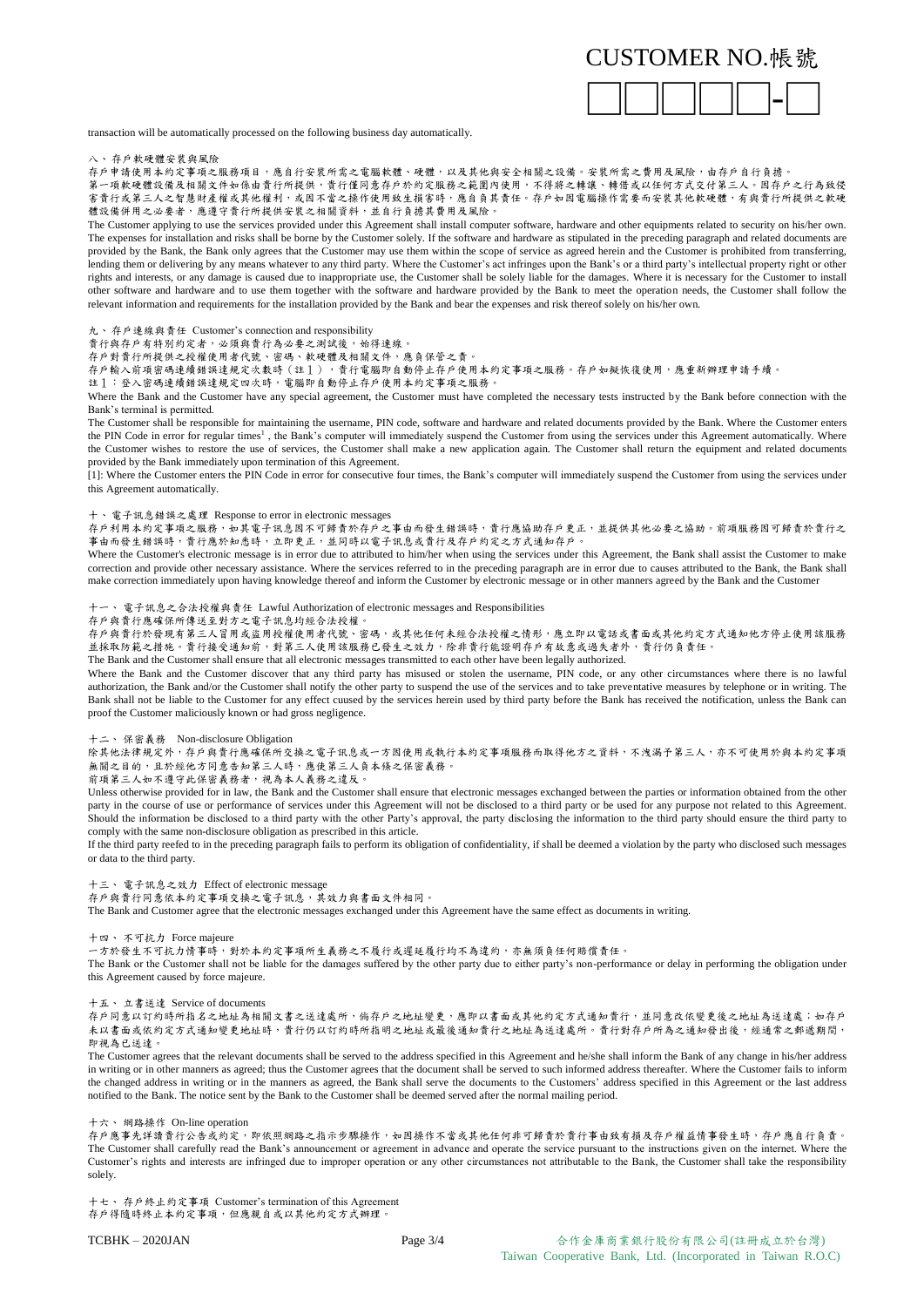### CUSTOMER NO.帳號



transaction will be automatically processed on the following business day automatically.

八、存戶軟硬體安裝與風險

存戶申請使用本約定事項之服務項目,應自行安裝所需之電腦軟體、硬體,以及其他與安全相關之設備。安裝所需之費用及風險,由存戶自行負擔。 第一項軟硬體設備及相關文件如係由貴行所提供,責行僅同意存戶於約定服務之範圍內使用,不得將之轉讓、轉借或以任何方式交付第三人。因存戶之行為致侵 害貴行或第三人之智慧財產權或其他權利,或因不當之操作使用致生損害時,應自負其責任。存戶如因電腦操作需要而安裝其他軟硬體,有與貴行所提供之軟硬 體設備併用之必要者,應遵守貴行所提供安裝之相關資料,並自行負擔其費用及風險。

The Customer applying to use the services provided under this Agreement shall install computer software, hardware and other equipments related to security on his/her own. The expenses for installation and risks shall be borne by the Customer solely. If the software and hardware as stipulated in the preceding paragraph and related documents are provided by the Bank, the Bank only agrees that the Customer may use them within the scope of service as agreed herein and the Customer is prohibited from transferring, lending them or delivering by any means whatever to any third party. Where the Customer's act infringes upon the Bank's or a third party's intellectual property right or other rights and interests, or any damage is caused due to inappropriate use, the Customer shall be solely liable for the damages. Where it is necessary for the Customer to install other software and hardware and to use them together with the software and hardware provided by the Bank to meet the operation needs, the Customer shall follow the relevant information and requirements for the installation provided by the Bank and bear the expenses and risk thereof solely on his/her own.

九、存戶連線與責任 Customer's connection and responsibility

貴行與存戶有特別約定者,必須與貴行為必要之測試後,始得連線。

存戶對貴行所提供之授權使用者代號、密碼、軟硬體及相關文件,應負保管之責。

存戶輸入前項密碼連續錯誤達規定次數時(註1),實行電腦即自動停止存戶使用本約定事項之服務。存戶如擬恢復使用,應重新辦理申請手續。

註1:登入密碼連續錯誤達規定四次時,電腦即自動停止存戶使用本約定事項之服務。

Where the Bank and the Customer have any special agreement, the Customer must have completed the necessary tests instructed by the Bank before connection with the Bank's terminal is permitted.

The Customer shall be responsible for maintaining the username, PIN code, software and hardware and related documents provided by the Bank. Where the Customer enters the PIN Code in error for regular times<sup>1</sup>, the Bank's computer will immediately suspend the Customer from using the services under this Agreement automatically. Where the Customer wishes to restore the use of services, the Customer shall make a new application again. The Customer shall return the equipment and related documents provided by the Bank immediately upon termination of this Agreement.

[1]: Where the Customer enters the PIN Code in error for consecutive four times, the Bank's computer will immediately suspend the Customer from using the services under this Agreement automatically.

#### 十、電子訊息錯誤之處理 Response to error in electronic messages

存戶利用本約定事項之服務,如其電子訊息因不可歸責於存戶之事由而發生錯誤時,貴行應協助存戶更正,並提供其他必要之協助。前項服務因可歸責於貴行之 事由而發生錯誤時,貴行應於知悉時,立即更正,並同時以電子訊息或貴行及存戶約定之方式通知存戶。

Where the Customer's electronic message is in error due to attributed to him/her when using the services under this Agreement, the Bank shall assist the Customer to make correction and provide other necessary assistance. Where the services referred to in the preceding paragraph are in error due to causes attributed to the Bank, the Bank shall make correction immediately upon having knowledge thereof and inform the Customer by electronic message or in other manners agreed by the Bank and the Customer

十一、 電子訊息之合法授權與責任 Lawful Authorization of electronic messages and Responsibilities

#### 存戶與貴行應確保所傳送至對方之電子訊息均經合法授權。

存戶與貴行於發現有第三人冒用或盜用授權使用者代號、密碼,或其他任何未經合法授權之情形,應立即以電話或書面或其他約定方式通知他方停止使用該服務 並採取防範之措施。貴行接受通知前,對第三人使用該服務已發生之效力,除非貴行能證明存戶有故意或過失者外,貴行仍負責任。

The Bank and the Customer shall ensure that all electronic messages transmitted to each other have been legally authorized.

Where the Bank and the Customer discover that any third party has misused or stolen the username, PIN code, or any other circumstances where there is no lawful authorization, the Bank and/or the Customer shall notify the other party to suspend the use of the services and to take preventative measures by telephone or in writing. The Bank shall not be liable to the Customer for any effect cuused by the services herein used by third party before the Bank has received the notification, unless the Bank can proof the Customer maliciously known or had gross negligence.

十二、 保密義務 Non-disclosure Obligation

除其他法律規定外,存戶與貴行應確保所交換之電子訊息或一方因使用或執行本約定事項服務而取得他方之資料,不洩漏予第三人,亦不可使用於與本約定事項 無關之目的,且於經他方同意告知第三人時,應使第三人負本條之保密義務。

前項第三人如不遵守此保密義務者,視為本人義務之違反。

Unless otherwise provided for in law, the Bank and the Customer shall ensure that electronic messages exchanged between the parties or information obtained from the other party in the course of use or performance of services under this Agreement will not be disclosed to a third party or be used for any purpose not related to this Agreement. Should the information be disclosed to a third party with the other Party's approval, the party disclosing the information to the third party should ensure the third party to comply with the same non-disclosure obligation as prescribed in this article.

If the third party reefed to in the preceding paragraph fails to perform its obligation of confidentiality, if shall be deemed a violation by the party who disclosed such messages or data to the third party.

十三、 電子訊息之效力 Effect of electronic message

存戶與貴行同意依本約定事項交換之電子訊息,其效力與書面文件相同。

The Bank and Customer agree that the electronic messages exchanged under this Agreement have the same effect as documents in writing.

十四、 不可抗力 Force majeure

一方於發生不可抗力情事時,對於本約定事項所生義務之不履行或遲延履行均不為違約,亦無須負任何賠償責任。

The Bank or the Customer shall not be liable for the damages suffered by the other party due to either party's non-performance or delay in performing the obligation under this Agreement caused by force majeure.

十五、 立書送達 Service of documents

存戶同意以訂約時所指名之地址為相關文書之送達處所,倘存戶之地址變更,應即以書面或其他約定方式通知貴行,並同意改依變更後之地址為送達處;如存戶 未以書面或依約定方式通知變更地址時,貴行仍以訂約時所指明之地址或最後通知貴行之地址為送達處所。貴行對存戶所為之通知發出後,經通常之郵遞期間, 即視為已送達。

The Customer agrees that the relevant documents shall be served to the address specified in this Agreement and he/she shall inform the Bank of any change in his/her address in writing or in other manners as agreed; thus the Customer agrees that the document shall be served to such informed address thereafter. Where the Customer fails to inform the changed address in writing or in the manners as agreed, the Bank shall serve the documents to the Customers' address specified in this Agreement or the last address notified to the Bank. The notice sent by the Bank to the Customer shall be deemed served after the normal mailing period.

十六、 網路操作 On-line operation

存戶應事先詳讀貴行公告或約定,即依照網路之指示步驟操作,如因操作不當或其他任何非可歸責於貴行事由致有損及存戶權益情事發生時,存戶應自行負責。 The Customer shall carefully read the Bank's announcement or agreement in advance and operate the service pursuant to the instructions given on the internet. Where the Customer's rights and interests are infringed due to improper operation or any other circumstances not attributable to the Bank, the Customer shall take the responsibility solely.

十七、 存戶終止約定事項 Customer's termination of this Agreement 存戶得隨時終止本約定事項,但應親自或以其他約定方式辦理。